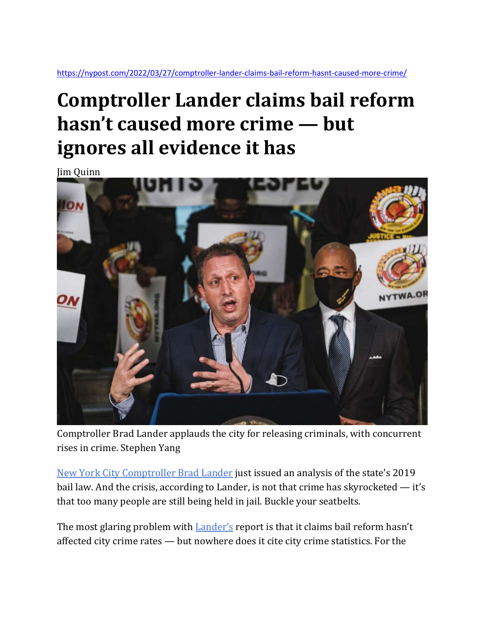https://nypost.com/2022/03/27/comptroller-lander-claims-bail-reform-hasnt-caused-more-crime/

## **Comptroller Lander claims bail reform hasn't caused more crime — but ignores all evidence it has**

Jim Quinn



Comptroller Brad Lander applauds the city for releasing criminals, with concurrent rises in crime. Stephen Yang

New York City Comptroller Brad Lander just issued an analysis of the state's 2019 bail law. And the crisis, according to Lander, is not that crime has skyrocketed — it's that too many people are still being held in jail. Buckle your seatbelts.

The most glaring problem with **Lander's** report is that it claims bail reform hasn't affected city crime rates — but nowhere does it cite city crime statistics. For the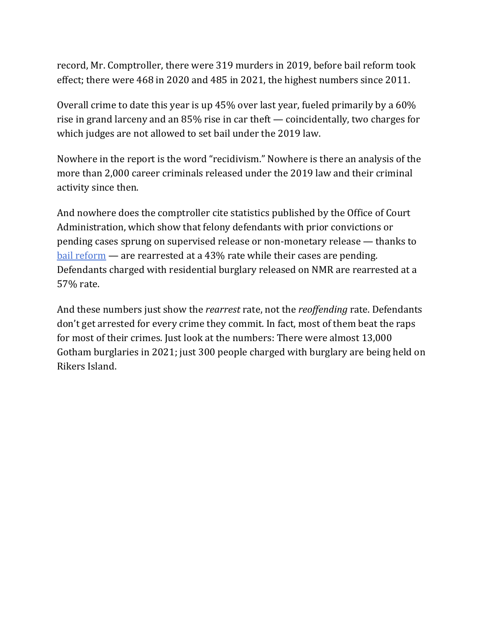record, Mr. Comptroller, there were 319 murders in 2019, before bail reform took effect; there were 468 in 2020 and 485 in 2021, the highest numbers since 2011.

Overall crime to date this year is up 45% over last year, fueled primarily by a 60% rise in grand larceny and an 85% rise in car theft — coincidentally, two charges for which judges are not allowed to set bail under the 2019 law.

Nowhere in the report is the word "recidivism." Nowhere is there an analysis of the more than 2,000 career criminals released under the 2019 law and their criminal activity since then.

And nowhere does the comptroller cite statistics published by the Office of Court Administration, which show that felony defendants with prior convictions or pending cases sprung on supervised release or non-monetary release — thanks to bail reform — are rearrested at a 43% rate while their cases are pending. Defendants charged with residential burglary released on NMR are rearrested at a 57% rate.

And these numbers just show the *rearrest* rate, not the *reoffending* rate. Defendants don't get arrested for every crime they commit. In fact, most of them beat the raps for most of their crimes. Just look at the numbers: There were almost 13,000 Gotham burglaries in 2021; just 300 people charged with burglary are being held on Rikers Island.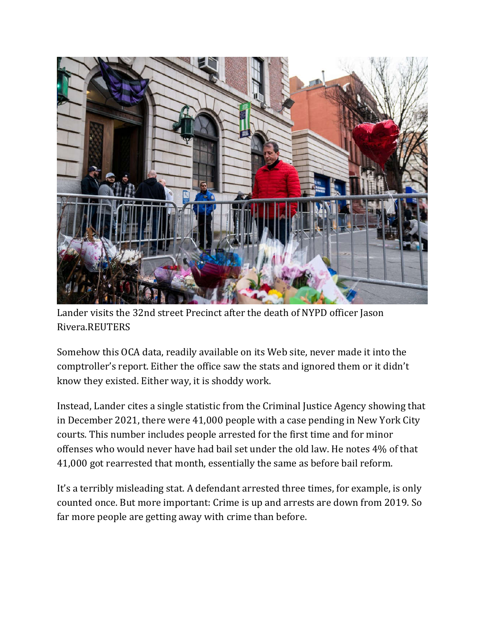

Lander visits the 32nd street Precinct after the death of NYPD officer Jason Rivera.REUTERS

Somehow this OCA data, readily available on its Web site, never made it into the comptroller's report. Either the office saw the stats and ignored them or it didn't know they existed. Either way, it is shoddy work.

Instead, Lander cites a single statistic from the Criminal Justice Agency showing that in December 2021, there were 41,000 people with a case pending in New York City courts. This number includes people arrested for the first time and for minor offenses who would never have had bail set under the old law. He notes 4% of that 41,000 got rearrested that month, essentially the same as before bail reform.

It's a terribly misleading stat. A defendant arrested three times, for example, is only counted once. But more important: Crime is up and arrests are down from 2019. So far more people are getting away with crime than before.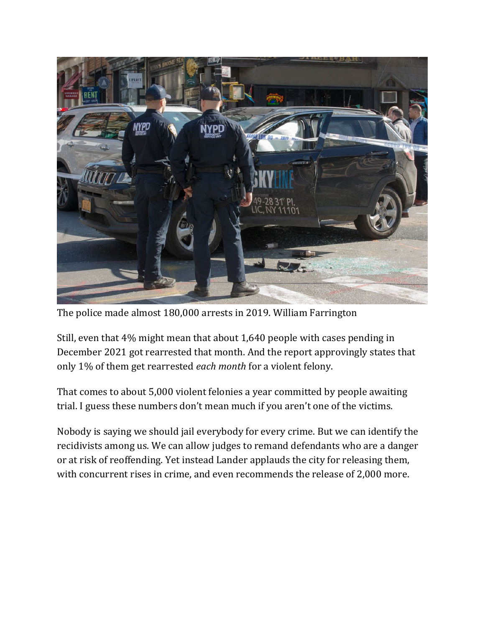

The police made almost 180,000 arrests in 2019. William Farrington

Still, even that 4% might mean that about 1,640 people with cases pending in December 2021 got rearrested that month. And the report approvingly states that only 1% of them get rearrested *each month* for a violent felony.

That comes to about 5,000 violent felonies a year committed by people awaiting trial. I guess these numbers don't mean much if you aren't one of the victims.

Nobody is saying we should jail everybody for every crime. But we can identify the recidivists among us. We can allow judges to remand defendants who are a danger or at risk of reoffending. Yet instead Lander applauds the city for releasing them, with concurrent rises in crime, and even recommends the release of 2,000 more.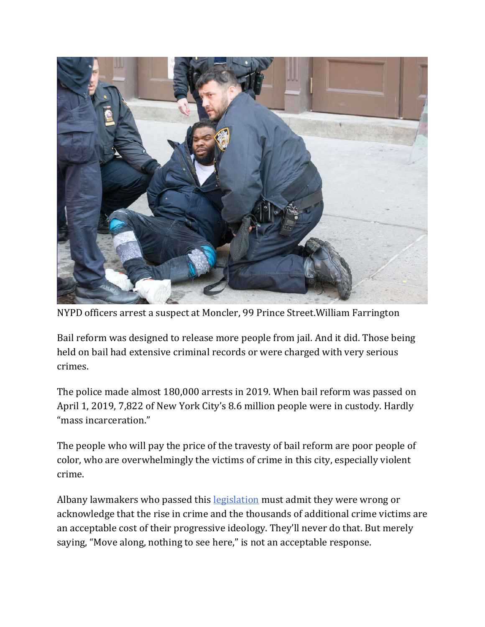

NYPD officers arrest a suspect at Moncler, 99 Prince Street.William Farrington

Bail reform was designed to release more people from jail. And it did. Those being held on bail had extensive criminal records or were charged with very serious crimes.

The police made almost 180,000 arrests in 2019. When bail reform was passed on April 1, 2019, 7,822 of New York City's 8.6 million people were in custody. Hardly "mass incarceration."

The people who will pay the price of the travesty of bail reform are poor people of color, who are overwhelmingly the victims of crime in this city, especially violent crime.

Albany lawmakers who passed this **legislation** must admit they were wrong or acknowledge that the rise in crime and the thousands of additional crime victims are an acceptable cost of their progressive ideology. They'll never do that. But merely saying, "Move along, nothing to see here," is not an acceptable response.